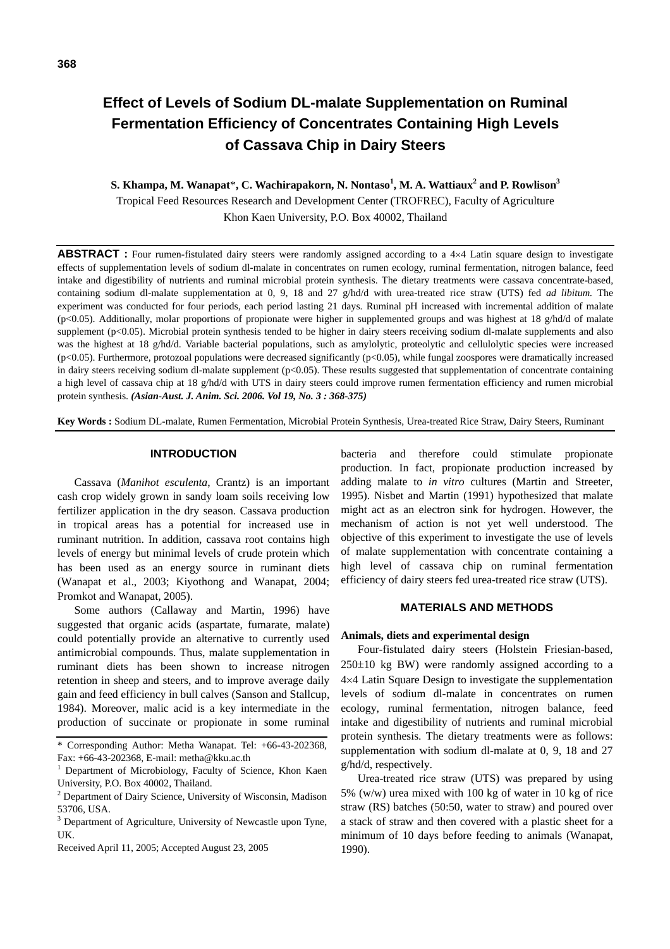# **Effect of Levels of Sodium DL-malate Supplementation on Ruminal Fermentation Efficiency of Concentrates Containing High Levels of Cassava Chip in Dairy Steers**

## **S. Khampa, M. Wanapat**\***, C. Wachirapakorn, N. Nontaso<sup>1</sup> , M. A. Wattiaux<sup>2</sup> and P. Rowlison<sup>3</sup>** Tropical Feed Resources Research and Development Center (TROFREC), Faculty of Agriculture Khon Kaen University, P.O. Box 40002, Thailand

ABSTRACT : Four rumen-fistulated dairy steers were randomly assigned according to a 4×4 Latin square design to investigate effects of supplementation levels of sodium dl-malate in concentrates on rumen ecology, ruminal fermentation, nitrogen balance, feed intake and digestibility of nutrients and ruminal microbial protein synthesis. The dietary treatments were cassava concentrate-based, containing sodium dl-malate supplementation at 0, 9, 18 and 27 g/hd/d with urea-treated rice straw (UTS) fed *ad libitum.* The experiment was conducted for four periods, each period lasting 21 days. Ruminal pH increased with incremental addition of malate (p<0.05). Additionally, molar proportions of propionate were higher in supplemented groups and was highest at 18  $g/hd/d$  of malate supplement (p<0.05). Microbial protein synthesis tended to be higher in dairy steers receiving sodium dl-malate supplements and also was the highest at 18 g/hd/d. Variable bacterial populations, such as amylolytic, proteolytic and cellulolytic species were increased  $(p<0.05)$ . Furthermore, protozoal populations were decreased significantly  $(p<0.05)$ , while fungal zoospores were dramatically increased in dairy steers receiving sodium dl-malate supplement (p<0.05). These results suggested that supplementation of concentrate containing a high level of cassava chip at 18 g/hd/d with UTS in dairy steers could improve rumen fermentation efficiency and rumen microbial protein synthesis. *(Asian-Aust. J. Anim. Sci. 2006. Vol 19, No. 3 : 368-375)*

**Key Words :** Sodium DL-malate, Rumen Fermentation, Microbial Protein Synthesis, Urea-treated Rice Straw, Dairy Steers, Ruminant

## **INTRODUCTION**

Cassava (*Manihot esculenta*, Crantz) is an important cash crop widely grown in sandy loam soils receiving low fertilizer application in the dry season. Cassava production in tropical areas has a potential for increased use in ruminant nutrition. In addition, cassava root contains high levels of energy but minimal levels of crude protein which has been used as an energy source in ruminant diets (Wanapat et al., 2003; Kiyothong and Wanapat, 2004; Promkot and Wanapat, 2005).

Some authors (Callaway and Martin, 1996) have suggested that organic acids (aspartate, fumarate, malate) could potentially provide an alternative to currently used antimicrobial compounds. Thus, malate supplementation in ruminant diets has been shown to increase nitrogen retention in sheep and steers, and to improve average daily gain and feed efficiency in bull calves (Sanson and Stallcup, 1984). Moreover, malic acid is a key intermediate in the production of succinate or propionate in some ruminal bacteria and therefore could stimulate propionate production. In fact, propionate production increased by adding malate to *in vitro* cultures (Martin and Streeter, 1995). Nisbet and Martin (1991) hypothesized that malate might act as an electron sink for hydrogen. However, the mechanism of action is not yet well understood. The objective of this experiment to investigate the use of levels of malate supplementation with concentrate containing a high level of cassava chip on ruminal fermentation efficiency of dairy steers fed urea-treated rice straw (UTS).

#### **MATERIALS AND METHODS**

#### **Animals, diets and experimental design**

Four-fistulated dairy steers (Holstein Friesian-based,  $250±10$  kg BW) were randomly assigned according to a 4×4 Latin Square Design to investigate the supplementation levels of sodium dl-malate in concentrates on rumen ecology, ruminal fermentation, nitrogen balance, feed intake and digestibility of nutrients and ruminal microbial protein synthesis. The dietary treatments were as follows: supplementation with sodium dl-malate at 0, 9, 18 and 27 g/hd/d, respectively.

Urea-treated rice straw (UTS) was prepared by using 5% (w/w) urea mixed with 100 kg of water in 10 kg of rice straw (RS) batches (50:50, water to straw) and poured over a stack of straw and then covered with a plastic sheet for a minimum of 10 days before feeding to animals (Wanapat, 1990).

<sup>\*</sup> Corresponding Author: Metha Wanapat. Tel: +66-43-202368, Fax: +66-43-202368, E-mail: metha@kku.ac.th

<sup>&</sup>lt;sup>1</sup> Department of Microbiology, Faculty of Science, Khon Kaen University, P.O. Box 40002, Thailand.

<sup>&</sup>lt;sup>2</sup> Department of Dairy Science, University of Wisconsin, Madison 53706, USA.

<sup>&</sup>lt;sup>3</sup> Department of Agriculture, University of Newcastle upon Tyne, UK.

Received April 11, 2005; Accepted August 23, 2005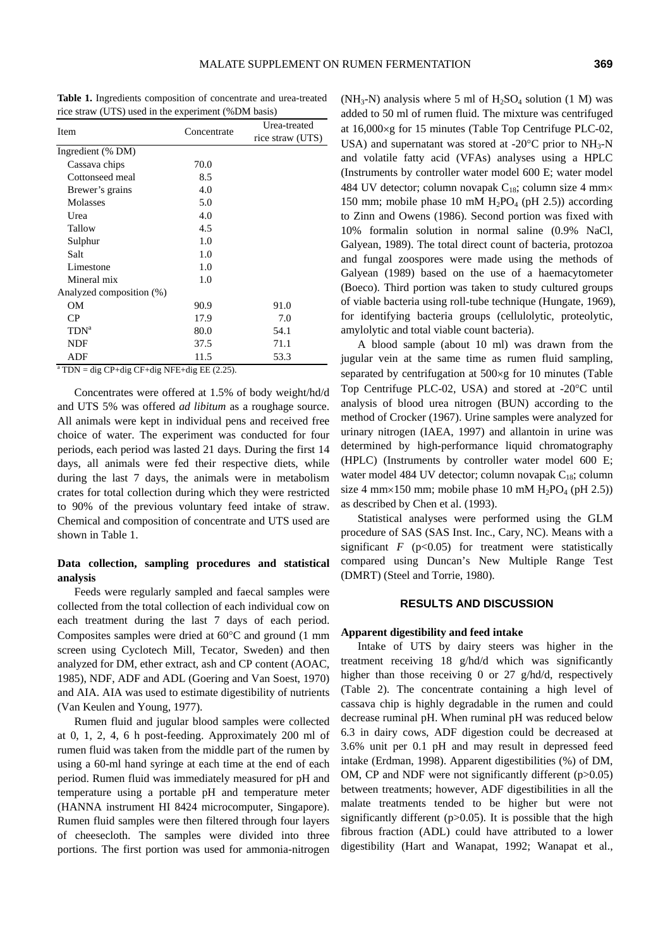**Table 1.** Ingredients composition of concentrate and urea-treated rice straw (UTS) used in the experiment (%DM basis)

| Item                                                  | Concentrate | Urea-treated     |  |  |  |
|-------------------------------------------------------|-------------|------------------|--|--|--|
|                                                       |             | rice straw (UTS) |  |  |  |
| Ingredient (% DM)                                     |             |                  |  |  |  |
| Cassava chips                                         | 70.0        |                  |  |  |  |
| Cottonseed meal                                       | 8.5         |                  |  |  |  |
| Brewer's grains                                       | 4.0         |                  |  |  |  |
| Molasses                                              | 5.0         |                  |  |  |  |
| Urea                                                  | 4.0         |                  |  |  |  |
| Tallow                                                | 4.5         |                  |  |  |  |
| Sulphur                                               | 1.0         |                  |  |  |  |
| Salt                                                  | 1.0         |                  |  |  |  |
| Limestone                                             | 1.0         |                  |  |  |  |
| Mineral mix                                           | 1.0         |                  |  |  |  |
| Analyzed composition (%)                              |             |                  |  |  |  |
| OМ                                                    | 90.9        | 91.0             |  |  |  |
| CP                                                    | 17.9        | 7.0              |  |  |  |
| $TDN^a$                                               | 80.0        | 54.1             |  |  |  |
| <b>NDF</b>                                            | 37.5        | 71.1             |  |  |  |
| ADF                                                   | 11.5        | 53.3             |  |  |  |
| $^{\circ}$ TDN = dig CP+dig CF+dig NFE+dig EE (2.25). |             |                  |  |  |  |

Concentrates were offered at 1.5% of body weight/hd/d and UTS 5% was offered *ad libitum* as a roughage source. All animals were kept in individual pens and received free choice of water. The experiment was conducted for four periods, each period was lasted 21 days. During the first 14 days, all animals were fed their respective diets, while during the last 7 days, the animals were in metabolism crates for total collection during which they were restricted to 90% of the previous voluntary feed intake of straw. Chemical and composition of concentrate and UTS used are shown in Table 1.

## **Data collection, sampling procedures and statistical analysis**

Feeds were regularly sampled and faecal samples were collected from the total collection of each individual cow on each treatment during the last 7 days of each period. Composites samples were dried at 60°C and ground (1 mm screen using Cyclotech Mill, Tecator, Sweden) and then analyzed for DM, ether extract, ash and CP content (AOAC, 1985), NDF, ADF and ADL (Goering and Van Soest, 1970) and AIA. AIA was used to estimate digestibility of nutrients (Van Keulen and Young, 1977).

Rumen fluid and jugular blood samples were collected at 0, 1, 2, 4, 6 h post-feeding. Approximately 200 ml of rumen fluid was taken from the middle part of the rumen by using a 60-ml hand syringe at each time at the end of each period. Rumen fluid was immediately measured for pH and temperature using a portable pH and temperature meter (HANNA instrument HI 8424 microcomputer, Singapore). Rumen fluid samples were then filtered through four layers of cheesecloth. The samples were divided into three portions. The first portion was used for ammonia-nitrogen (NH<sub>3</sub>-N) analysis where 5 ml of  $H_2SO_4$  solution (1 M) was added to 50 ml of rumen fluid. The mixture was centrifuged at 16,000×g for 15 minutes (Table Top Centrifuge PLC-02, USA) and supernatant was stored at -20 $^{\circ}$ C prior to NH<sub>3</sub>-N and volatile fatty acid (VFAs) analyses using a HPLC (Instruments by controller water model 600 E; water model 484 UV detector; column novapak  $C_{18}$ ; column size 4 mm× 150 mm; mobile phase 10 mM  $H_2PO_4$  (pH 2.5)) according to Zinn and Owens (1986). Second portion was fixed with 10% formalin solution in normal saline (0.9% NaCl, Galyean, 1989). The total direct count of bacteria, protozoa and fungal zoospores were made using the methods of Galyean (1989) based on the use of a haemacytometer (Boeco). Third portion was taken to study cultured groups of viable bacteria using roll-tube technique (Hungate, 1969), for identifying bacteria groups (cellulolytic, proteolytic, amylolytic and total viable count bacteria).

A blood sample (about 10 ml) was drawn from the jugular vein at the same time as rumen fluid sampling, separated by centrifugation at 500×g for 10 minutes (Table Top Centrifuge PLC-02, USA) and stored at -20°C until analysis of blood urea nitrogen (BUN) according to the method of Crocker (1967). Urine samples were analyzed for urinary nitrogen (IAEA, 1997) and allantoin in urine was determined by high-performance liquid chromatography (HPLC) (Instruments by controller water model 600 E; water model 484 UV detector; column novapak  $C_{18}$ ; column size 4 mm×150 mm; mobile phase 10 mM  $H_2PO_4$  (pH 2.5)) as described by Chen et al. (1993).

Statistical analyses were performed using the GLM procedure of SAS (SAS Inst. Inc., Cary, NC). Means with a significant  $F$  ( $p<0.05$ ) for treatment were statistically compared using Duncan's New Multiple Range Test (DMRT) (Steel and Torrie, 1980).

## **RESULTS AND DISCUSSION**

#### **Apparent digestibility and feed intake**

Intake of UTS by dairy steers was higher in the treatment receiving 18 g/hd/d which was significantly higher than those receiving 0 or 27 g/hd/d, respectively (Table 2). The concentrate containing a high level of cassava chip is highly degradable in the rumen and could decrease ruminal pH. When ruminal pH was reduced below 6.3 in dairy cows, ADF digestion could be decreased at 3.6% unit per 0.1 pH and may result in depressed feed intake (Erdman, 1998). Apparent digestibilities (%) of DM, OM, CP and NDF were not significantly different (p>0.05) between treatments; however, ADF digestibilities in all the malate treatments tended to be higher but were not significantly different ( $p$ >0.05). It is possible that the high fibrous fraction (ADL) could have attributed to a lower digestibility (Hart and Wanapat, 1992; Wanapat et al.,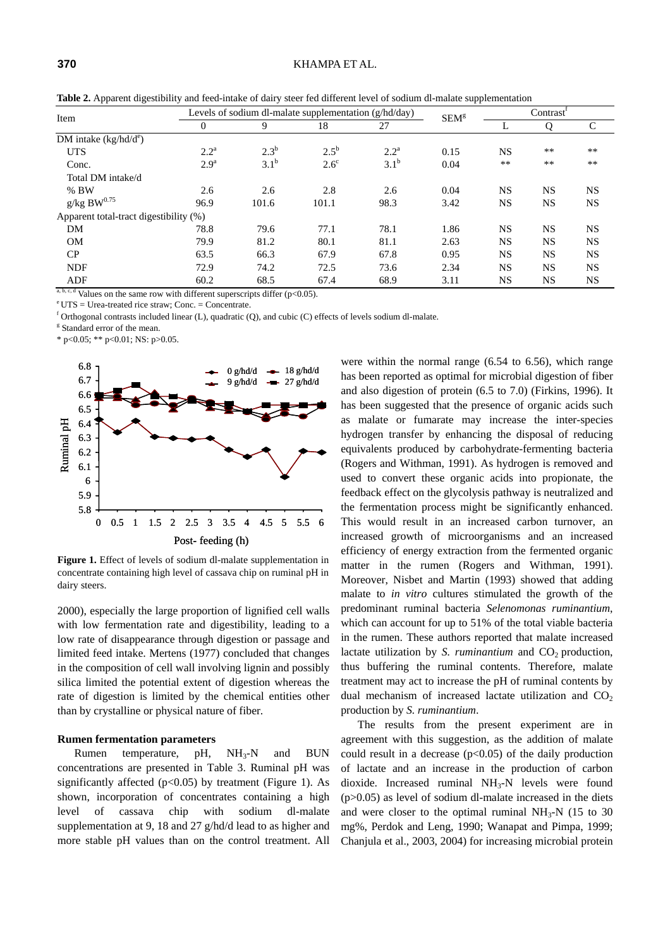| Item                                   |                  | Levels of sodium dl-malate supplementation $(g/hd/day)$ |               |                  |         |           | Contrast <sup>'</sup> |               |  |
|----------------------------------------|------------------|---------------------------------------------------------|---------------|------------------|---------|-----------|-----------------------|---------------|--|
|                                        | $\theta$         | 9                                                       | 18            | 27               | $SEM^g$ | L         | Q                     | $\mathcal{C}$ |  |
| DM intake $(kg/hd/de)$                 |                  |                                                         |               |                  |         |           |                       |               |  |
| <b>UTS</b>                             | $2.2^{\rm a}$    | $2.3^{b}$                                               | $2.5^{\rm b}$ | $2.2^{\rm a}$    | 0.15    | <b>NS</b> | $***$                 | $***$         |  |
| Conc.                                  | 2.9 <sup>a</sup> | $3.1^{\rm b}$                                           | $2.6^{\circ}$ | 3.1 <sup>b</sup> | 0.04    | $**$      | $***$                 | $***$         |  |
| Total DM intake/d                      |                  |                                                         |               |                  |         |           |                       |               |  |
| $%$ BW                                 | 2.6              | 2.6                                                     | 2.8           | 2.6              | 0.04    | <b>NS</b> | <b>NS</b>             | <b>NS</b>     |  |
| $g/kg$ BW $^{0.75}$                    | 96.9             | 101.6                                                   | 101.1         | 98.3             | 3.42    | NS        | <b>NS</b>             | <b>NS</b>     |  |
| Apparent total-tract digestibility (%) |                  |                                                         |               |                  |         |           |                       |               |  |
| DM                                     | 78.8             | 79.6                                                    | 77.1          | 78.1             | 1.86    | <b>NS</b> | <b>NS</b>             | <b>NS</b>     |  |
| <b>OM</b>                              | 79.9             | 81.2                                                    | 80.1          | 81.1             | 2.63    | <b>NS</b> | <b>NS</b>             | <b>NS</b>     |  |
| CP                                     | 63.5             | 66.3                                                    | 67.9          | 67.8             | 0.95    | <b>NS</b> | <b>NS</b>             | <b>NS</b>     |  |
| <b>NDF</b>                             | 72.9             | 74.2                                                    | 72.5          | 73.6             | 2.34    | <b>NS</b> | <b>NS</b>             | <b>NS</b>     |  |
| ADF                                    | 60.2             | 68.5                                                    | 67.4          | 68.9             | 3.11    | <b>NS</b> | <b>NS</b>             | <b>NS</b>     |  |

**Table 2.** Apparent digestibility and feed-intake of dairy steer fed different level of sodium dl-malate supplementation

<sup>a, b, c, d</sup> Values on the same row with different superscripts differ (p<0.05). <br><sup>e</sup> UTS = Urea-treated rice straw; Conc. = Concentrate.

f Orthogonal contrasts included linear (L), quadratic (Q), and cubic (C) effects of levels sodium dl-malate.

<sup>g</sup> Standard error of the mean.

 $*$  p<0.05;  $*$  p<0.01; NS: p>0.05.



**Figure 1.** Effect of levels of sodium dl-malate supplementation in concentrate containing high level of cassava chip on ruminal pH in dairy steers.

2000), especially the large proportion of lignified cell walls with low fermentation rate and digestibility, leading to a low rate of disappearance through digestion or passage and limited feed intake. Mertens (1977) concluded that changes in the composition of cell wall involving lignin and possibly silica limited the potential extent of digestion whereas the rate of digestion is limited by the chemical entities other than by crystalline or physical nature of fiber.

#### **Rumen fermentation parameters**

Rumen temperature, pH, NH<sub>3</sub>-N and BUN concentrations are presented in Table 3. Ruminal pH was significantly affected ( $p<0.05$ ) by treatment (Figure 1). As shown, incorporation of concentrates containing a high level of cassava chip with sodium dl-malate supplementation at 9, 18 and 27 g/hd/d lead to as higher and more stable pH values than on the control treatment. All

were within the normal range (6.54 to 6.56), which range has been reported as optimal for microbial digestion of fiber and also digestion of protein (6.5 to 7.0) (Firkins, 1996). It has been suggested that the presence of organic acids such as malate or fumarate may increase the inter-species hydrogen transfer by enhancing the disposal of reducing equivalents produced by carbohydrate-fermenting bacteria (Rogers and Withman, 1991). As hydrogen is removed and used to convert these organic acids into propionate, the feedback effect on the glycolysis pathway is neutralized and the fermentation process might be significantly enhanced. This would result in an increased carbon turnover, an increased growth of microorganisms and an increased efficiency of energy extraction from the fermented organic matter in the rumen (Rogers and Withman, 1991). Moreover, Nisbet and Martin (1993) showed that adding malate to *in vitro* cultures stimulated the growth of the predominant ruminal bacteria *Selenomonas ruminantium*, which can account for up to 51% of the total viable bacteria in the rumen. These authors reported that malate increased lactate utilization by *S. ruminantium* and CO<sub>2</sub> production, thus buffering the ruminal contents. Therefore, malate treatment may act to increase the pH of ruminal contents by dual mechanism of increased lactate utilization and  $CO<sub>2</sub>$ production by *S. ruminantium*.

The results from the present experiment are in agreement with this suggestion, as the addition of malate could result in a decrease  $(p<0.05)$  of the daily production of lactate and an increase in the production of carbon dioxide. Increased ruminal NH3-N levels were found  $(p>0.05)$  as level of sodium dl-malate increased in the diets and were closer to the optimal ruminal  $NH<sub>3</sub>-N$  (15 to 30) mg%, Perdok and Leng, 1990; Wanapat and Pimpa, 1999; Chanjula et al., 2003, 2004) for increasing microbial protein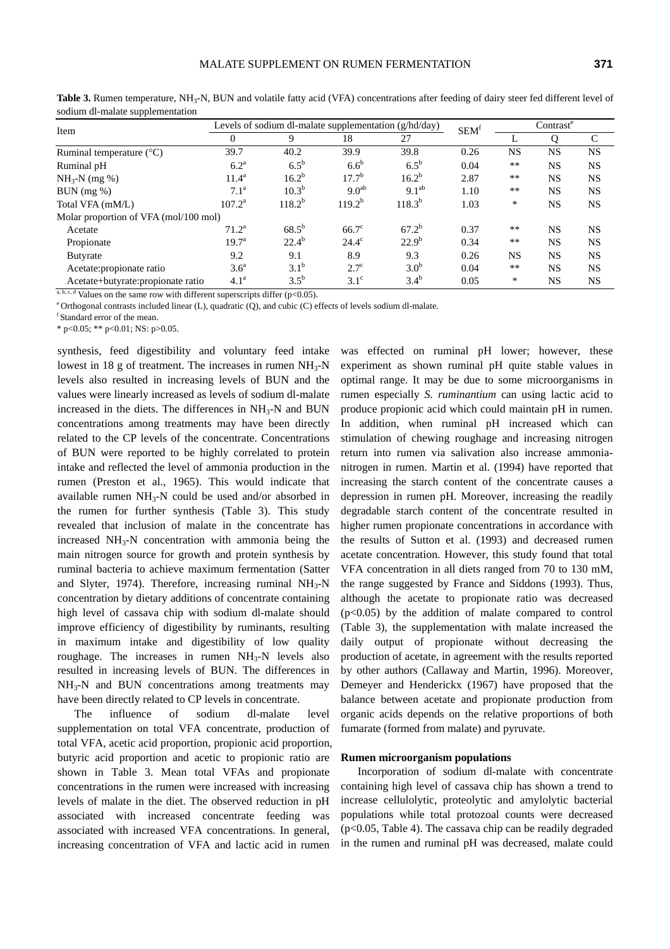| ×<br>×<br>۰,<br>×<br>۰, | I |
|-------------------------|---|
|-------------------------|---|

| . .<br>Item                           |                   | Levels of sodium dl-malate supplementation (g/hd/day) | SEM <sup>t</sup>  | Contrast <sup>e</sup> |      |           |           |               |
|---------------------------------------|-------------------|-------------------------------------------------------|-------------------|-----------------------|------|-----------|-----------|---------------|
|                                       | $\theta$          | 9                                                     | 18                | 27                    |      | ⊥         |           | $\mathcal{C}$ |
| Ruminal temperature $(^{\circ}C)$     | 39.7              | 40.2                                                  | 39.9              | 39.8                  | 0.26 | <b>NS</b> | <b>NS</b> | <b>NS</b>     |
| Ruminal pH                            | 6.2 <sup>a</sup>  | $6.5^{\rm b}$                                         | 6.6 <sup>b</sup>  | $6.5^{\rm b}$         | 0.04 | **        | <b>NS</b> | <b>NS</b>     |
| $NH_{3}-N$ (mg %)                     | $11.4^{\rm a}$    | $16.2^{b}$                                            | $17.7^{b}$        | $16.2^{b}$            | 2.87 | $***$     | <b>NS</b> | <b>NS</b>     |
| $BUN$ (mg %)                          | $7.1^{\rm a}$     | $10.3^{b}$                                            | 9.0 <sup>ab</sup> | 9.1 <sup>ab</sup>     | 1.10 | $***$     | <b>NS</b> | <b>NS</b>     |
| Total VFA (mM/L)                      | $107.2^{\rm a}$   | $118.2^{b}$                                           | $119.2^{b}$       | $118.3^{b}$           | 1.03 | $\ast$    | <b>NS</b> | <b>NS</b>     |
| Molar proportion of VFA (mol/100 mol) |                   |                                                       |                   |                       |      |           |           |               |
| Acetate                               | $71.2^a$          | $68.5^{b}$                                            | $66.7^\circ$      | $67.2^{b}$            | 0.37 | **        | <b>NS</b> | <b>NS</b>     |
| Propionate                            | 19.7 <sup>a</sup> | $22.4^{b}$                                            | $24.4^\circ$      | $22.9^{b}$            | 0.34 | **        | <b>NS</b> | <b>NS</b>     |
| <b>Butyrate</b>                       | 9.2               | 9.1                                                   | 8.9               | 9.3                   | 0.26 | <b>NS</b> | <b>NS</b> | <b>NS</b>     |
| Acetate: propionate ratio             | 3.6 <sup>a</sup>  | $3.1^{b}$                                             | $2.7^{\circ}$     | 3.0 <sup>b</sup>      | 0.04 | $***$     | <b>NS</b> | <b>NS</b>     |
| Acetate+butyrate: propionate ratio    | 4.1 <sup>a</sup>  | $3.5^{b}$                                             | $3.1^\circ$       | $3.4^{b}$             | 0.05 | $\ast$    | <b>NS</b> | <b>NS</b>     |

Table 3. Rumen temperature, NH<sub>3</sub>-N, BUN and volatile fatty acid (VFA) concentrations after feeding of dairy steer fed different level of sodium dl-malate supplementation

a, b, c, d Values on the same row with different superscripts differ (p<0.05).<br>
<sup>e</sup> Orthogonal contrasts included linear (L), quadratic (Q), and cubic (C) effects of levels sodium dl-malate.<br>
<sup>f</sup> Standard error of the mea

 $*$  p<0.05;  $*$  p<0.01; NS: p>0.05.

synthesis, feed digestibility and voluntary feed intake lowest in 18 g of treatment. The increases in rumen  $NH<sub>3</sub>-N$ levels also resulted in increasing levels of BUN and the values were linearly increased as levels of sodium dl-malate increased in the diets. The differences in  $NH<sub>3</sub>-N$  and BUN concentrations among treatments may have been directly related to the CP levels of the concentrate. Concentrations of BUN were reported to be highly correlated to protein intake and reflected the level of ammonia production in the rumen (Preston et al., 1965). This would indicate that available rumen  $NH<sub>3</sub>-N$  could be used and/or absorbed in the rumen for further synthesis (Table 3). This study revealed that inclusion of malate in the concentrate has increased  $NH<sub>3</sub>-N$  concentration with ammonia being the main nitrogen source for growth and protein synthesis by ruminal bacteria to achieve maximum fermentation (Satter and Slyter, 1974). Therefore, increasing ruminal  $NH<sub>3</sub>-N$ concentration by dietary additions of concentrate containing high level of cassava chip with sodium dl-malate should improve efficiency of digestibility by ruminants, resulting in maximum intake and digestibility of low quality roughage. The increases in rumen  $NH<sub>3</sub>-N$  levels also resulted in increasing levels of BUN. The differences in NH<sub>3</sub>-N and BUN concentrations among treatments may have been directly related to CP levels in concentrate.

The influence of sodium dl-malate level supplementation on total VFA concentrate, production of total VFA, acetic acid proportion, propionic acid proportion, butyric acid proportion and acetic to propionic ratio are shown in Table 3. Mean total VFAs and propionate concentrations in the rumen were increased with increasing levels of malate in the diet. The observed reduction in pH associated with increased concentrate feeding was associated with increased VFA concentrations. In general, increasing concentration of VFA and lactic acid in rumen

was effected on ruminal pH lower; however, these experiment as shown ruminal pH quite stable values in optimal range. It may be due to some microorganisms in rumen especially *S. ruminantium* can using lactic acid to produce propionic acid which could maintain pH in rumen. In addition, when ruminal pH increased which can stimulation of chewing roughage and increasing nitrogen return into rumen via salivation also increase ammonianitrogen in rumen. Martin et al. (1994) have reported that increasing the starch content of the concentrate causes a depression in rumen pH. Moreover, increasing the readily degradable starch content of the concentrate resulted in higher rumen propionate concentrations in accordance with the results of Sutton et al. (1993) and decreased rumen acetate concentration. However, this study found that total VFA concentration in all diets ranged from 70 to 130 mM, the range suggested by France and Siddons (1993). Thus, although the acetate to propionate ratio was decreased  $(p<0.05)$  by the addition of malate compared to control (Table 3), the supplementation with malate increased the daily output of propionate without decreasing the production of acetate, in agreement with the results reported by other authors (Callaway and Martin, 1996). Moreover, Demeyer and Henderickx (1967) have proposed that the balance between acetate and propionate production from organic acids depends on the relative proportions of both fumarate (formed from malate) and pyruvate.

#### **Rumen microorganism populations**

Incorporation of sodium dl-malate with concentrate containing high level of cassava chip has shown a trend to increase cellulolytic, proteolytic and amylolytic bacterial populations while total protozoal counts were decreased (p<0.05, Table 4). The cassava chip can be readily degraded in the rumen and ruminal pH was decreased, malate could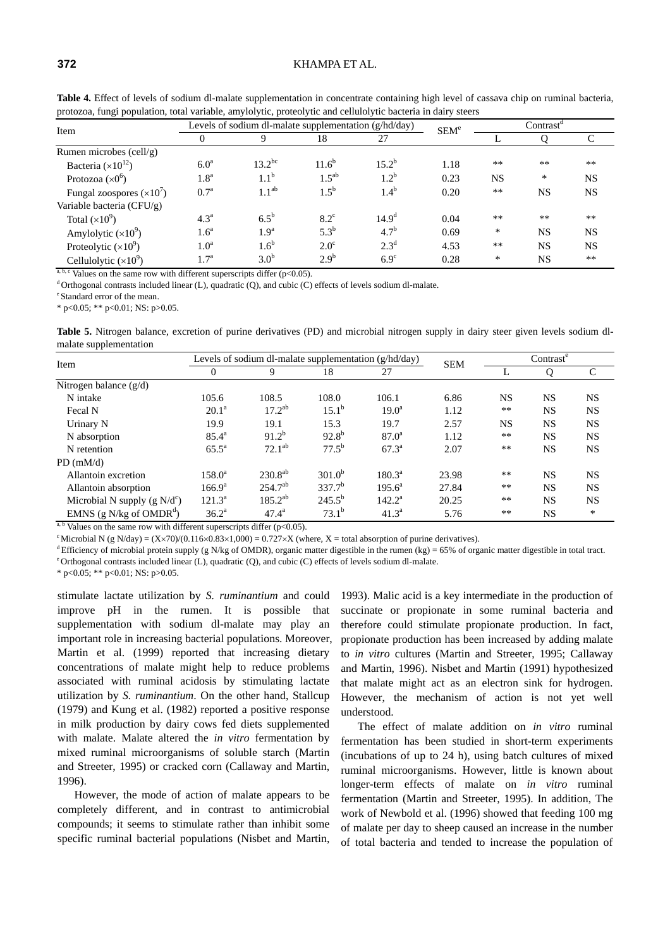#### **372** KHAMPA ET AL.

| Table 4. Effect of levels of sodium dl-malate supplementation in concentrate containing high level of cassava chip on ruminal bacteria, |  |  |  |
|-----------------------------------------------------------------------------------------------------------------------------------------|--|--|--|
| protozoa, fungi population, total variable, amylolytic, proteolytic and cellulolytic bacteria in dairy steers                           |  |  |  |

| <u>.</u><br>Item            |                  | Levels of sodium dl-malate supplementation (g/hd/day) |                  |                   |                  |           | $Contrast^{\alpha}$ |              |  |
|-----------------------------|------------------|-------------------------------------------------------|------------------|-------------------|------------------|-----------|---------------------|--------------|--|
|                             |                  |                                                       | 18               | 27                | SEM <sup>e</sup> |           |                     | $\mathsf{C}$ |  |
| Rumen microbes (cell/g)     |                  |                                                       |                  |                   |                  |           |                     |              |  |
| Bacteria $(\times 10^{12})$ | 6.0 <sup>a</sup> | $13.2^{bc}$                                           | $11.6^{b}$       | $15.2^{b}$        | 1.18             | $**$      | $***$               | $**$         |  |
| Protozoa $(x0^6)$           | 1.8 <sup>a</sup> | 1.1 <sup>b</sup>                                      | $1.5^{ab}$       | $1.2^{b}$         | 0.23             | <b>NS</b> | $\ast$              | <b>NS</b>    |  |
| Fungal zoospores $(x10)$    | 0.7 <sup>a</sup> | 1.1 <sup>ab</sup>                                     | $1.5^{b}$        | $1.4^{b}$         | 0.20             | $**$      | <b>NS</b>           | <b>NS</b>    |  |
| Variable bacteria (CFU/g)   |                  |                                                       |                  |                   |                  |           |                     |              |  |
| Total $(\times 10^9)$       | 4.3 <sup>a</sup> | $6.5^{\rm b}$                                         | $8.2^{\circ}$    | 14.9 <sup>d</sup> | 0.04             | $**$      | $***$               | $***$        |  |
| Amylolytic $(\times 10^9)$  | 1.6 <sup>a</sup> | 1.9 <sup>a</sup>                                      | $5.3^{b}$        | $4.7^{\rm b}$     | 0.69             | *         | <b>NS</b>           | <b>NS</b>    |  |
| Proteolytic $(x10^9)$       | 1.0 <sup>a</sup> | 1.6 <sup>b</sup>                                      | $2.0^\circ$      | $2.3^d$           | 4.53             | $**$      | <b>NS</b>           | <b>NS</b>    |  |
| Cellulolytic $(x10^9)$      | $1.7^{\rm a}$    | 3.0 <sup>b</sup>                                      | 2.9 <sup>b</sup> | $6.9^\circ$       | 0.28             | *         | NS                  | $**$         |  |

<sup>a, b, c</sup> Values on the same row with different superscripts differ ( $p<0.05$ ).<br><sup>d</sup> Orthogonal contrasts included linear (L), quadratic (Q), and cubic (C) effects of levels sodium dl-malate.<br><sup>e</sup> Standard error of the mea

 $*$  p<0.05;  $*$  p<0.01; NS: p>0.05.

**Table 5.** Nitrogen balance, excretion of purine derivatives (PD) and microbial nitrogen supply in dairy steer given levels sodium dlmalate supplementation

| Item                                                                                                                                | Levels of sodium dl-malate supplementation (g/hd/day) | <b>SEM</b>     | Contrast       |                 |       |           |           |           |
|-------------------------------------------------------------------------------------------------------------------------------------|-------------------------------------------------------|----------------|----------------|-----------------|-------|-----------|-----------|-----------|
|                                                                                                                                     | 0                                                     | 9              | 18             | 27              |       |           |           | C         |
| Nitrogen balance $(g/d)$                                                                                                            |                                                       |                |                |                 |       |           |           |           |
| N intake                                                                                                                            | 105.6                                                 | 108.5          | 108.0          | 106.1           | 6.86  | <b>NS</b> | <b>NS</b> | <b>NS</b> |
| Fecal N                                                                                                                             | $20.1^{\rm a}$                                        | $17.2^{ab}$    | $15.1^{\rm b}$ | $19.0^{\rm a}$  | 1.12  | $***$     | <b>NS</b> | <b>NS</b> |
| Urinary N                                                                                                                           | 19.9                                                  | 19.1           | 15.3           | 19.7            | 2.57  | <b>NS</b> | <b>NS</b> | <b>NS</b> |
| N absorption                                                                                                                        | $85.4^{\circ}$                                        | $91.2^{b}$     | $92.8^{b}$     | $87.0^{\circ}$  | 1.12  | **        | <b>NS</b> | <b>NS</b> |
| N retention                                                                                                                         | $65.5^{\circ}$                                        | $72.1^{ab}$    | $77.5^{b}$     | $67.3^{\rm a}$  | 2.07  | $***$     | <b>NS</b> | <b>NS</b> |
| $PD$ (mM/d)                                                                                                                         |                                                       |                |                |                 |       |           |           |           |
| Allantoin excretion                                                                                                                 | $158.0^{\rm a}$                                       | $230.8^{ab}$   | $301.0^{b}$    | $180.3^{\circ}$ | 23.98 | $***$     | <b>NS</b> | <b>NS</b> |
| Allantoin absorption                                                                                                                | $166.9^{\rm a}$                                       | $254.7^{ab}$   | $337.7^b$      | $195.6^a$       | 27.84 | **        | <b>NS</b> | <b>NS</b> |
| Microbial N supply (g $N/d^c$ )                                                                                                     | $121.3^{\rm a}$                                       | $185.2^{ab}$   | $245.5^{b}$    | $142.2^{\rm a}$ | 20.25 | $***$     | <b>NS</b> | <b>NS</b> |
| EMNS (g N/kg of $OMDRd$ )<br>$a, b, x, 1, $ on the same near with $1 \text{ if } c_1, \ldots, c_n$ and $1 \text{ if } c_n, c_n > 0$ | $36.2^{\rm a}$                                        | $47.4^{\rm a}$ | $73.1^b$       | $41.3^{\circ}$  | 5.76  | $***$     | <b>NS</b> | $\ast$    |

Values on the same row with different superscripts differ ( $p<0.05$ ).

<sup>c</sup>Microbial N (g N/day) = (X×70)/(0.116×0.83×1,000) = 0.727×X (where, X = total absorption of purine derivatives).<br><sup>d</sup> Efficiency of microbial protein supply (g N/kg of OMDR), organic matter digestible in the rumen (kg)

\* p<0.05; \*\* p<0.01; NS: p>0.05.

stimulate lactate utilization by *S. ruminantium* and could improve pH in the rumen. It is possible that supplementation with sodium dl-malate may play an important role in increasing bacterial populations. Moreover, Martin et al. (1999) reported that increasing dietary concentrations of malate might help to reduce problems associated with ruminal acidosis by stimulating lactate utilization by *S. ruminantium*. On the other hand, Stallcup (1979) and Kung et al. (1982) reported a positive response in milk production by dairy cows fed diets supplemented with malate. Malate altered the *in vitro* fermentation by mixed ruminal microorganisms of soluble starch (Martin and Streeter, 1995) or cracked corn (Callaway and Martin, 1996).

However, the mode of action of malate appears to be completely different, and in contrast to antimicrobial compounds; it seems to stimulate rather than inhibit some specific ruminal bacterial populations (Nisbet and Martin, 1993). Malic acid is a key intermediate in the production of succinate or propionate in some ruminal bacteria and therefore could stimulate propionate production. In fact, propionate production has been increased by adding malate to *in vitro* cultures (Martin and Streeter, 1995; Callaway and Martin, 1996). Nisbet and Martin (1991) hypothesized that malate might act as an electron sink for hydrogen. However, the mechanism of action is not yet well understood.

The effect of malate addition on *in vitro* ruminal fermentation has been studied in short-term experiments (incubations of up to 24 h), using batch cultures of mixed ruminal microorganisms. However, little is known about longer-term effects of malate on *in vitro* ruminal fermentation (Martin and Streeter, 1995). In addition, The work of Newbold et al. (1996) showed that feeding 100 mg of malate per day to sheep caused an increase in the number of total bacteria and tended to increase the population of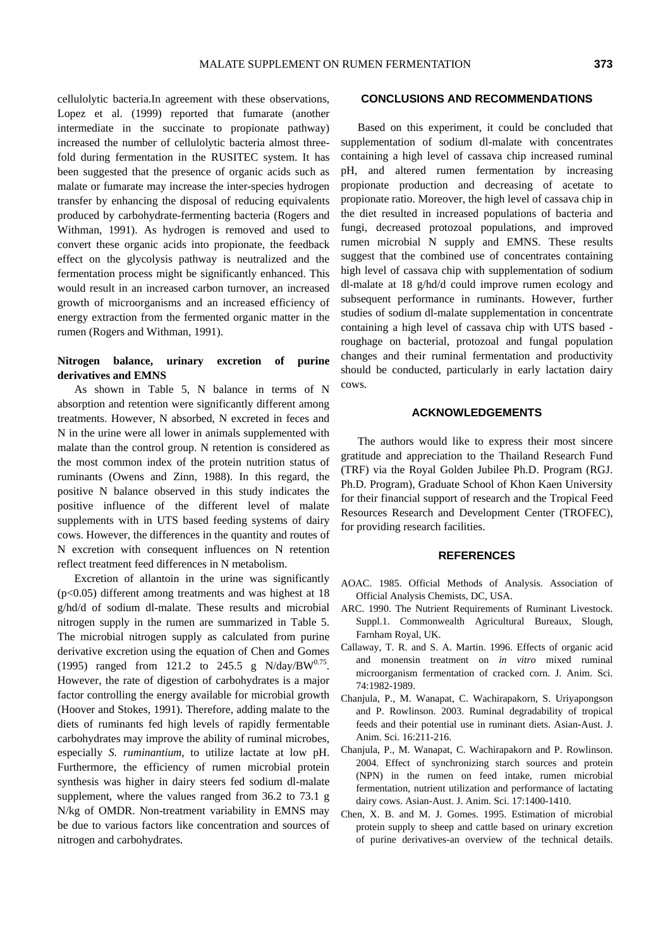cellulolytic bacteria.In agreement with these observations, Lopez et al. (1999) reported that fumarate (another intermediate in the succinate to propionate pathway) increased the number of cellulolytic bacteria almost threefold during fermentation in the RUSITEC system. It has been suggested that the presence of organic acids such as malate or fumarate may increase the inter-species hydrogen transfer by enhancing the disposal of reducing equivalents produced by carbohydrate-fermenting bacteria (Rogers and Withman, 1991). As hydrogen is removed and used to convert these organic acids into propionate, the feedback effect on the glycolysis pathway is neutralized and the fermentation process might be significantly enhanced. This would result in an increased carbon turnover, an increased growth of microorganisms and an increased efficiency of energy extraction from the fermented organic matter in the rumen (Rogers and Withman, 1991).

## **Nitrogen balance, urinary excretion of purine derivatives and EMNS**

As shown in Table 5, N balance in terms of N absorption and retention were significantly different among treatments. However, N absorbed, N excreted in feces and N in the urine were all lower in animals supplemented with malate than the control group. N retention is considered as the most common index of the protein nutrition status of ruminants (Owens and Zinn, 1988). In this regard, the positive N balance observed in this study indicates the positive influence of the different level of malate supplements with in UTS based feeding systems of dairy cows. However, the differences in the quantity and routes of N excretion with consequent influences on N retention reflect treatment feed differences in N metabolism.

Excretion of allantoin in the urine was significantly  $(p<0.05)$  different among treatments and was highest at 18 g/hd/d of sodium dl-malate. These results and microbial nitrogen supply in the rumen are summarized in Table 5. The microbial nitrogen supply as calculated from purine derivative excretion using the equation of Chen and Gomes (1995) ranged from 121.2 to 245.5 g N/day/BW $^{0.75}$ . However, the rate of digestion of carbohydrates is a major factor controlling the energy available for microbial growth (Hoover and Stokes, 1991). Therefore, adding malate to the diets of ruminants fed high levels of rapidly fermentable carbohydrates may improve the ability of ruminal microbes, especially *S. ruminantium*, to utilize lactate at low pH. Furthermore, the efficiency of rumen microbial protein synthesis was higher in dairy steers fed sodium dl-malate supplement, where the values ranged from 36.2 to 73.1 g N/kg of OMDR. Non-treatment variability in EMNS may be due to various factors like concentration and sources of nitrogen and carbohydrates.

### **CONCLUSIONS AND RECOMMENDATIONS**

Based on this experiment, it could be concluded that supplementation of sodium dl-malate with concentrates containing a high level of cassava chip increased ruminal pH, and altered rumen fermentation by increasing propionate production and decreasing of acetate to propionate ratio. Moreover, the high level of cassava chip in the diet resulted in increased populations of bacteria and fungi, decreased protozoal populations, and improved rumen microbial N supply and EMNS. These results suggest that the combined use of concentrates containing high level of cassava chip with supplementation of sodium dl-malate at 18 g/hd/d could improve rumen ecology and subsequent performance in ruminants. However, further studies of sodium dl-malate supplementation in concentrate containing a high level of cassava chip with UTS based roughage on bacterial, protozoal and fungal population changes and their ruminal fermentation and productivity should be conducted, particularly in early lactation dairy cows.

## **ACKNOWLEDGEMENTS**

The authors would like to express their most sincere gratitude and appreciation to the Thailand Research Fund (TRF) via the Royal Golden Jubilee Ph.D. Program (RGJ. Ph.D. Program), Graduate School of Khon Kaen University for their financial support of research and the Tropical Feed Resources Research and Development Center (TROFEC), for providing research facilities.

## **REFERENCES**

- AOAC. 1985. Official Methods of Analysis. Association of Official Analysis Chemists, DC, USA.
- ARC. 1990. The Nutrient Requirements of Ruminant Livestock. Suppl.1. Commonwealth Agricultural Bureaux, Slough, Farnham Royal, UK.
- Callaway, T. R. and S. A. Martin. 1996. Effects of organic acid and monensin treatment on *in vitro* mixed ruminal microorganism fermentation of cracked corn. J. Anim. Sci. 74:1982-1989.
- Chanjula, P., M. Wanapat, C. Wachirapakorn, S. Uriyapongson and P. Rowlinson. 2003. Ruminal degradability of tropical feeds and their potential use in ruminant diets. Asian-Aust. J. Anim. Sci. 16:211-216.
- Chanjula, P., M. Wanapat, C. Wachirapakorn and P. Rowlinson. 2004. Effect of synchronizing starch sources and protein (NPN) in the rumen on feed intake, rumen microbial fermentation, nutrient utilization and performance of lactating dairy cows. Asian-Aust. J. Anim. Sci. 17:1400-1410.
- Chen, X. B. and M. J. Gomes. 1995. Estimation of microbial protein supply to sheep and cattle based on urinary excretion of purine derivatives-an overview of the technical details.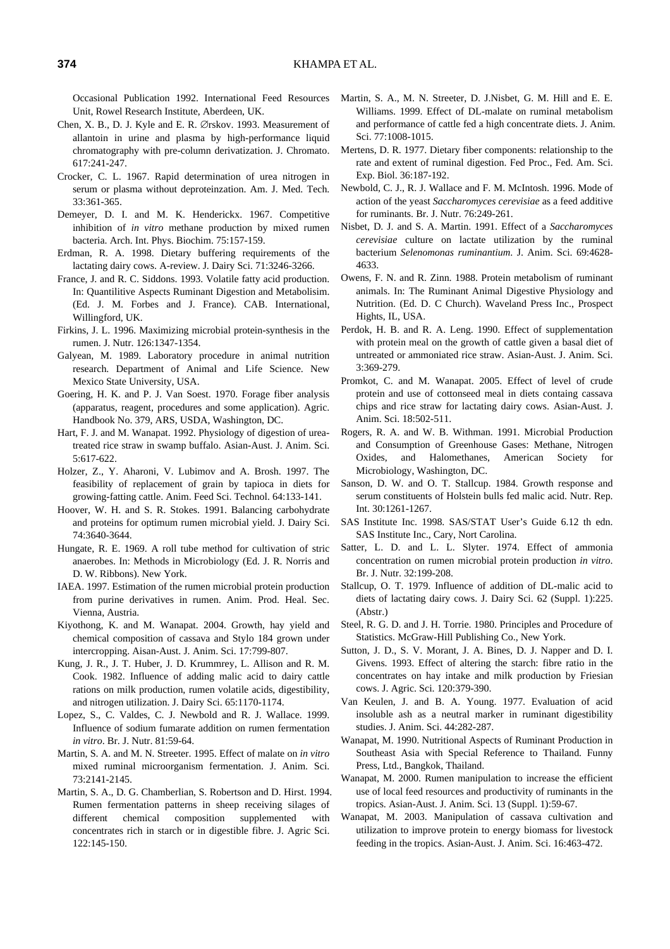Occasional Publication 1992. International Feed Resources Unit, Rowel Research Institute, Aberdeen, UK.

- Chen, X. B., D. J. Kyle and E. R. ∅rskov. 1993. Measurement of allantoin in urine and plasma by high-performance liquid chromatography with pre-column derivatization. J. Chromato. 617:241-247.
- Crocker, C. L. 1967. Rapid determination of urea nitrogen in serum or plasma without deproteinzation. Am. J. Med. Tech. 33:361-365.
- Demeyer, D. I. and M. K. Henderickx. 1967. Competitive inhibition of *in vitro* methane production by mixed rumen bacteria. Arch. Int. Phys. Biochim. 75:157-159.
- Erdman, R. A. 1998. Dietary buffering requirements of the lactating dairy cows. A-review. J. Dairy Sci. 71:3246-3266.
- France, J. and R. C. Siddons. 1993. Volatile fatty acid production. In: Quantilitive Aspects Ruminant Digestion and Metabolisim. (Ed. J. M. Forbes and J. France). CAB. International, Willingford, UK.
- Firkins, J. L. 1996. Maximizing microbial protein-synthesis in the rumen. J. Nutr. 126:1347-1354.
- Galyean, M. 1989. Laboratory procedure in animal nutrition research. Department of Animal and Life Science. New Mexico State University, USA.
- Goering, H. K. and P. J. Van Soest. 1970. Forage fiber analysis (apparatus, reagent, procedures and some application). Agric. Handbook No. 379, ARS, USDA, Washington, DC.
- Hart, F. J. and M. Wanapat. 1992. Physiology of digestion of ureatreated rice straw in swamp buffalo. Asian-Aust. J. Anim. Sci. 5:617-622.
- Holzer, Z., Y. Aharoni, V. Lubimov and A. Brosh. 1997. The feasibility of replacement of grain by tapioca in diets for growing-fatting cattle. Anim. Feed Sci. Technol. 64:133-141.
- Hoover, W. H. and S. R. Stokes. 1991. Balancing carbohydrate and proteins for optimum rumen microbial yield. J. Dairy Sci. 74:3640-3644.
- Hungate, R. E. 1969. A roll tube method for cultivation of stric anaerobes. In: Methods in Microbiology (Ed. J. R. Norris and D. W. Ribbons). New York.
- IAEA. 1997. Estimation of the rumen microbial protein production from purine derivatives in rumen. Anim. Prod. Heal. Sec. Vienna, Austria.
- Kiyothong, K. and M. Wanapat. 2004. Growth, hay yield and chemical composition of cassava and Stylo 184 grown under intercropping. Aisan-Aust. J. Anim. Sci. 17:799-807.
- Kung, J. R., J. T. Huber, J. D. Krummrey, L. Allison and R. M. Cook. 1982. Influence of adding malic acid to dairy cattle rations on milk production, rumen volatile acids, digestibility, and nitrogen utilization. J. Dairy Sci. 65:1170-1174.
- Lopez, S., C. Valdes, C. J. Newbold and R. J. Wallace. 1999. Influence of sodium fumarate addition on rumen fermentation *in vitro*. Br. J. Nutr. 81:59-64.
- Martin, S. A. and M. N. Streeter. 1995. Effect of malate on *in vitro* mixed ruminal microorganism fermentation. J. Anim. Sci. 73:2141-2145.
- Martin, S. A., D. G. Chamberlian, S. Robertson and D. Hirst. 1994. Rumen fermentation patterns in sheep receiving silages of different chemical composition supplemented with concentrates rich in starch or in digestible fibre. J. Agric Sci. 122:145-150.
- Martin, S. A., M. N. Streeter, D. J.Nisbet, G. M. Hill and E. E. Williams. 1999. Effect of DL-malate on ruminal metabolism and performance of cattle fed a high concentrate diets. J. Anim. Sci. 77:1008-1015.
- Mertens, D. R. 1977. Dietary fiber components: relationship to the rate and extent of ruminal digestion. Fed Proc., Fed. Am. Sci. Exp. Biol. 36:187-192.
- Newbold, C. J., R. J. Wallace and F. M. McIntosh. 1996. Mode of action of the yeast *Saccharomyces cerevisiae* as a feed additive for ruminants. Br. J. Nutr. 76:249-261.
- Nisbet, D. J. and S. A. Martin. 1991. Effect of a *Saccharomyces cerevisiae* culture on lactate utilization by the ruminal bacterium *Selenomonas ruminantium*. J. Anim. Sci. 69:4628- 4633.
- Owens, F. N. and R. Zinn. 1988. Protein metabolism of ruminant animals. In: The Ruminant Animal Digestive Physiology and Nutrition. (Ed. D. C Church). Waveland Press Inc., Prospect Hights, IL, USA.
- Perdok, H. B. and R. A. Leng. 1990. Effect of supplementation with protein meal on the growth of cattle given a basal diet of untreated or ammoniated rice straw. Asian-Aust. J. Anim. Sci. 3:369-279.
- Promkot, C. and M. Wanapat. 2005. Effect of level of crude protein and use of cottonseed meal in diets containg cassava chips and rice straw for lactating dairy cows. Asian-Aust. J. Anim. Sci. 18:502-511.
- Rogers, R. A. and W. B. Withman. 1991. Microbial Production and Consumption of Greenhouse Gases: Methane, Nitrogen Oxides, and Halomethanes, American Society for Microbiology, Washington, DC.
- Sanson, D. W. and O. T. Stallcup. 1984. Growth response and serum constituents of Holstein bulls fed malic acid. Nutr. Rep. Int. 30:1261-1267.
- SAS Institute Inc. 1998. SAS/STAT User's Guide 6.12 th edn. SAS Institute Inc., Cary, Nort Carolina.
- Satter, L. D. and L. L. Slyter. 1974. Effect of ammonia concentration on rumen microbial protein production *in vitro*. Br. J. Nutr. 32:199-208.
- Stallcup, O. T. 1979. Influence of addition of DL-malic acid to diets of lactating dairy cows. J. Dairy Sci. 62 (Suppl. 1):225. (Abstr.)
- Steel, R. G. D. and J. H. Torrie. 1980. Principles and Procedure of Statistics. McGraw-Hill Publishing Co., New York.
- Sutton, J. D., S. V. Morant, J. A. Bines, D. J. Napper and D. I. Givens. 1993. Effect of altering the starch: fibre ratio in the concentrates on hay intake and milk production by Friesian cows. J. Agric. Sci. 120:379-390.
- Van Keulen, J. and B. A. Young. 1977. Evaluation of acid insoluble ash as a neutral marker in ruminant digestibility studies. J. Anim. Sci. 44:282-287.
- Wanapat, M. 1990. Nutritional Aspects of Ruminant Production in Southeast Asia with Special Reference to Thailand. Funny Press, Ltd., Bangkok, Thailand.
- Wanapat, M. 2000. Rumen manipulation to increase the efficient use of local feed resources and productivity of ruminants in the tropics. Asian-Aust. J. Anim. Sci. 13 (Suppl. 1):59-67.
- Wanapat, M. 2003. Manipulation of cassava cultivation and utilization to improve protein to energy biomass for livestock feeding in the tropics. Asian-Aust. J. Anim. Sci. 16:463-472.